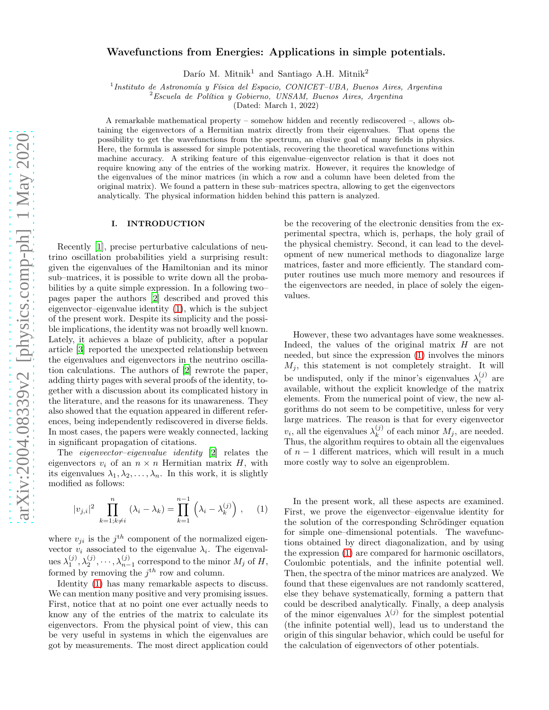# Wavefunctions from Energies: Applications in simple potentials.

Darío M. Mitnik<sup>1</sup> and Santiago A.H. Mitnik<sup>2</sup>

<sup>1</sup>Instituto de Astronomía y Física del Espacio, CONICET-UBA, Buenos Aires, Argentina

 $2$ Escuela de Política y Gobierno, UNSAM, Buenos Aires, Argentina

(Dated: March 1, 2022)

A remarkable mathematical property – somehow hidden and recently rediscovered –, allows obtaining the eigenvectors of a Hermitian matrix directly from their eigenvalues. That opens the possibility to get the wavefunctions from the spectrum, an elusive goal of many fields in physics. Here, the formula is assessed for simple potentials, recovering the theoretical wavefunctions within machine accuracy. A striking feature of this eigenvalue–eigenvector relation is that it does not require knowing any of the entries of the working matrix. However, it requires the knowledge of the eigenvalues of the minor matrices (in which a row and a column have been deleted from the original matrix). We found a pattern in these sub–matrices spectra, allowing to get the eigenvectors analytically. The physical information hidden behind this pattern is analyzed.

### I. INTRODUCTION

Recently [\[1](#page-5-0)], precise perturbative calculations of neutrino oscillation probabilities yield a surprising result: given the eigenvalues of the Hamiltonian and its minor sub–matrices, it is possible to write down all the probabilities by a quite simple expression. In a following two– pages paper the authors [\[2\]](#page-5-1) described and proved this eigenvector–eigenvalue identity [\(1\)](#page-0-0), which is the subject of the present work. Despite its simplicity and the possible implications, the identity was not broadly well known. Lately, it achieves a blaze of publicity, after a popular article [\[3\]](#page-5-2) reported the unexpected relationship between the eigenvalues and eigenvectors in the neutrino oscillation calculations. The authors of [\[2](#page-5-1)] rewrote the paper, adding thirty pages with several proofs of the identity, together with a discussion about its complicated history in the literature, and the reasons for its unawareness. They also showed that the equation appeared in different references, being independently rediscovered in diverse fields. In most cases, the papers were weakly connected, lacking in significant propagation of citations.

The eigenvector–eigenvalue identity [\[2](#page-5-1)] relates the eigenvectors  $v_i$  of an  $n \times n$  Hermitian matrix H, with its eigenvalues  $\lambda_1, \lambda_2, \ldots, \lambda_n$ . In this work, it is slightly modified as follows:

<span id="page-0-0"></span>
$$
|v_{j,i}|^2 \prod_{k=1,k\neq i}^n (\lambda_i - \lambda_k) = \prod_{k=1}^{n-1} (\lambda_i - \lambda_k^{(j)}) , \quad (1)
$$

where  $v_{ji}$  is the  $j<sup>th</sup>$  component of the normalized eigenvector  $v_i$  associated to the eigenvalue  $\lambda_i$ . The eigenvalues  $\lambda_1^{(j)}, \lambda_2^{(j)}, \cdots, \lambda_{n-1}^{(j)}$  correspond to the minor  $M_j$  of  $H$ , formed by removing the  $j<sup>th</sup>$  row and column.

Identity [\(1\)](#page-0-0) has many remarkable aspects to discuss. We can mention many positive and very promising issues. First, notice that at no point one ever actually needs to know any of the entries of the matrix to calculate its eigenvectors. From the physical point of view, this can be very useful in systems in which the eigenvalues are got by measurements. The most direct application could be the recovering of the electronic densities from the experimental spectra, which is, perhaps, the holy grail of the physical chemistry. Second, it can lead to the development of new numerical methods to diagonalize large matrices, faster and more efficiently. The standard computer routines use much more memory and resources if the eigenvectors are needed, in place of solely the eigenvalues.

However, these two advantages have some weaknesses. Indeed, the values of the original matrix  $H$  are not needed, but since the expression [\(1\)](#page-0-0) involves the minors  $M_i$ , this statement is not completely straight. It will be undisputed, only if the minor's eigenvalues  $\lambda_i^{(j)}$  are available, without the explicit knowledge of the matrix elements. From the numerical point of view, the new algorithms do not seem to be competitive, unless for very large matrices. The reason is that for every eigenvector  $v_i$ , all the eigenvalues  $\lambda_k^{(j)}$  $\binom{J}{k}$  of each minor  $M_j$ , are needed. Thus, the algorithm requires to obtain all the eigenvalues of  $n-1$  different matrices, which will result in a much more costly way to solve an eigenproblem.

In the present work, all these aspects are examined. First, we prove the eigenvector–eigenvalue identity for the solution of the corresponding Schrödinger equation for simple one–dimensional potentials. The wavefunctions obtained by direct diagonalization, and by using the expression [\(1\)](#page-0-0) are compared for harmonic oscillators, Coulombic potentials, and the infinite potential well. Then, the spectra of the minor matrices are analyzed. We found that these eigenvalues are not randomly scattered, else they behave systematically, forming a pattern that could be described analytically. Finally, a deep analysis of the minor eigenvalues  $\lambda^{(j)}$  for the simplest potential (the infinite potential well), lead us to understand the origin of this singular behavior, which could be useful for the calculation of eigenvectors of other potentials.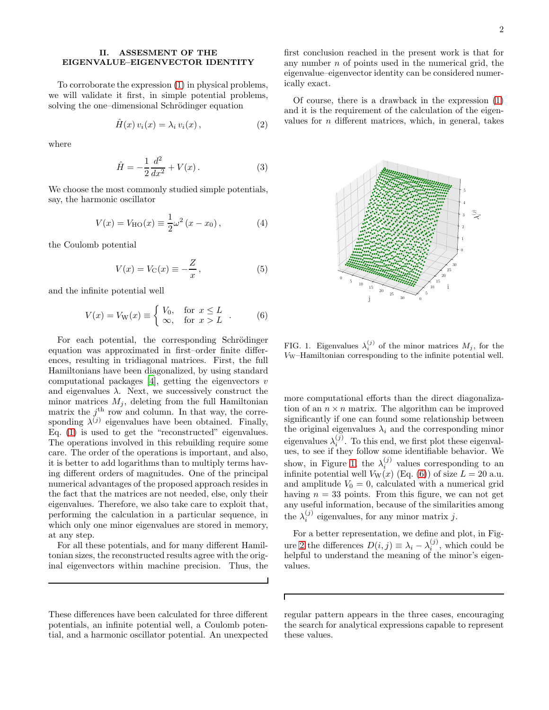### II. ASSESMENT OF THE EIGENVALUE–EIGENVECTOR IDENTITY

To corroborate the expression [\(1\)](#page-0-0) in physical problems, we will validate it first, in simple potential problems, solving the one–dimensional Schrödinger equation

$$
\hat{H}(x)v_i(x) = \lambda_i v_i(x), \qquad (2)
$$

where

$$
\hat{H} = -\frac{1}{2}\frac{d^2}{dx^2} + V(x).
$$
 (3)

We choose the most commonly studied simple potentials, say, the harmonic oscillator

$$
V(x) = V_{\text{HO}}(x) \equiv \frac{1}{2}\omega^2 (x - x_0), \tag{4}
$$

the Coulomb potential

$$
V(x) = V_{\mathcal{C}}(x) \equiv -\frac{Z}{x},\tag{5}
$$

and the infinite potential well

<span id="page-1-1"></span>
$$
V(x) = V_{\mathcal{W}}(x) \equiv \begin{cases} V_0, & \text{for } x \le L \\ \infty, & \text{for } x > L \end{cases} . \tag{6}
$$

For each potential, the corresponding Schrödinger equation was approximated in first–order finite differences, resulting in tridiagonal matrices. First, the full Hamiltonians have been diagonalized, by using standard computational packages  $[4]$ , getting the eigenvectors v and eigenvalues  $\lambda$ . Next, we successively construct the minor matrices  $M_j$ , deleting from the full Hamiltonian matrix the  $j<sup>th</sup>$  row and column. In that way, the corresponding  $\lambda^{(j)}$  eigenvalues have been obtained. Finally, Eq. [\(1\)](#page-0-0) is used to get the "reconstructed" eigenvalues. The operations involved in this rebuilding require some care. The order of the operations is important, and also, it is better to add logarithms than to multiply terms having different orders of magnitudes. One of the principal numerical advantages of the proposed approach resides in the fact that the matrices are not needed, else, only their eigenvalues. Therefore, we also take care to exploit that, performing the calculation in a particular sequence, in which only one minor eigenvalues are stored in memory, at any step.

For all these potentials, and for many different Hamiltonian sizes, the reconstructed results agree with the original eigenvectors within machine precision. Thus, the

These differences have been calculated for three different potentials, an infinite potential well, a Coulomb potential, and a harmonic oscillator potential. An unexpected

first conclusion reached in the present work is that for any number  $n$  of points used in the numerical grid, the eigenvalue–eigenvector identity can be considered numerically exact.

Of course, there is a drawback in the expression [\(1\)](#page-0-0) and it is the requirement of the calculation of the eigenvalues for  $n$  different matrices, which, in general, takes



<span id="page-1-0"></span>FIG. 1. Eigenvalues  $\lambda_i^{(j)}$  of the minor matrices  $M_j$ , for the VW–Hamiltonian corresponding to the infinite potential well.

more computational efforts than the direct diagonalization of an  $n \times n$  matrix. The algorithm can be improved significantly if one can found some relationship between the original eigenvalues  $\lambda_i$  and the corresponding minor eigenvalues  $\lambda_i^{(j)}$ . To this end, we first plot these eigenvalues, to see if they follow some identifiable behavior. We show, in Figure [1,](#page-1-0) the  $\lambda_i^{(j)}$  values corresponding to an infinite potential well  $V_W(x)$  (Eq. [\(6\)](#page-1-1)) of size  $L = 20$  a.u. and amplitude  $V_0 = 0$ , calculated with a numerical grid having  $n = 33$  points. From this figure, we can not get any useful information, because of the similarities among the  $\lambda_i^{(j)}$  eigenvalues, for any minor matrix j.

For a better representation, we define and plot, in Fig-ure [2](#page-2-0) the differences  $D(i, j) \equiv \lambda_i - \lambda_i^{(j)}$ , which could be helpful to understand the meaning of the minor's eigenvalues.

 $\Gamma$ 

regular pattern appears in the three cases, encouraging the search for analytical expressions capable to represent these values.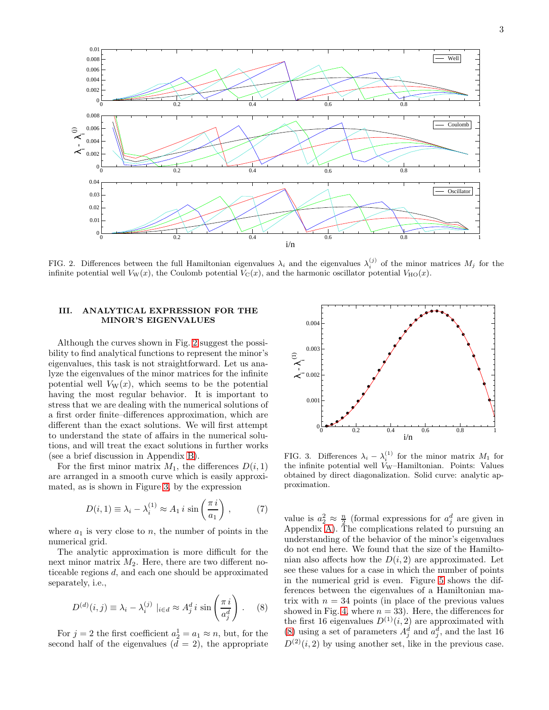

<span id="page-2-0"></span>FIG. 2. Differences between the full Hamiltonian eigenvalues  $\lambda_i$  and the eigenvalues  $\lambda_i^{(j)}$  of the minor matrices  $M_j$  for the infinite potential well  $V_W(x)$ , the Coulomb potential  $V_C(x)$ , and the harmonic oscillator potential  $V_{\text{HO}}(x)$ .

# III. ANALYTICAL EXPRESSION FOR THE MINOR'S EIGENVALUES

Although the curves shown in Fig. [2](#page-2-0) suggest the possibility to find analytical functions to represent the minor's eigenvalues, this task is not straightforward. Let us analyze the eigenvalues of the minor matrices for the infinite potential well  $V_W(x)$ , which seems to be the potential having the most regular behavior. It is important to stress that we are dealing with the numerical solutions of a first order finite–differences approximation, which are different than the exact solutions. We will first attempt to understand the state of affairs in the numerical solutions, and will treat the exact solutions in further works (see a brief discussion in Appendix [B\)](#page-6-0).

For the first minor matrix  $M_1$ , the differences  $D(i, 1)$ are arranged in a smooth curve which is easily approximated, as is shown in Figure [3,](#page-2-1) by the expression

$$
D(i,1) \equiv \lambda_i - \lambda_i^{(1)} \approx A_1 i \sin\left(\frac{\pi i}{a_1}\right),\tag{7}
$$

where  $a_1$  is very close to n, the number of points in the numerical grid.

The analytic approximation is more difficult for the next minor matrix  $M_2$ . Here, there are two different noticeable regions d, and each one should be approximated separately, i.e.,

<span id="page-2-2"></span>
$$
D^{(d)}(i,j) \equiv \lambda_i - \lambda_i^{(j)} \mid_{i \in d} \approx A_j^d i \sin\left(\frac{\pi i}{a_j^d}\right). \tag{8}
$$

For  $j = 2$  the first coefficient  $a_2^1 = a_1 \approx n$ , but, for the second half of the eigenvalues  $(d = 2)$ , the appropriate



<span id="page-2-1"></span>FIG. 3. Differences  $\lambda_i - \lambda_i^{(1)}$  for the minor matrix  $M_1$  for the infinite potential well  $V_W$ –Hamiltonian. Points: Values obtained by direct diagonalization. Solid curve: analytic approximation.

value is  $a_2^2 \approx \frac{n}{2}$  (formal expressions for  $a_j^d$  are given in Appendix [A\)](#page-5-4). The complications related to pursuing an understanding of the behavior of the minor's eigenvalues do not end here. We found that the size of the Hamiltonian also affects how the  $D(i, 2)$  are approximated. Let see these values for a case in which the number of points in the numerical grid is even. Figure [5](#page-3-0) shows the differences between the eigenvalues of a Hamiltonian matrix with  $n = 34$  points (in place of the previous values showed in Fig. [4,](#page-3-1) where  $n = 33$ ). Here, the differences for the first 16 eigenvalues  $D^{(1)}(i, 2)$  are approximated with [\(8\)](#page-2-2) using a set of parameters  $A_j^d$  and  $a_j^d$ , and the last 16  $D^{(2)}(i, 2)$  by using another set, like in the previous case.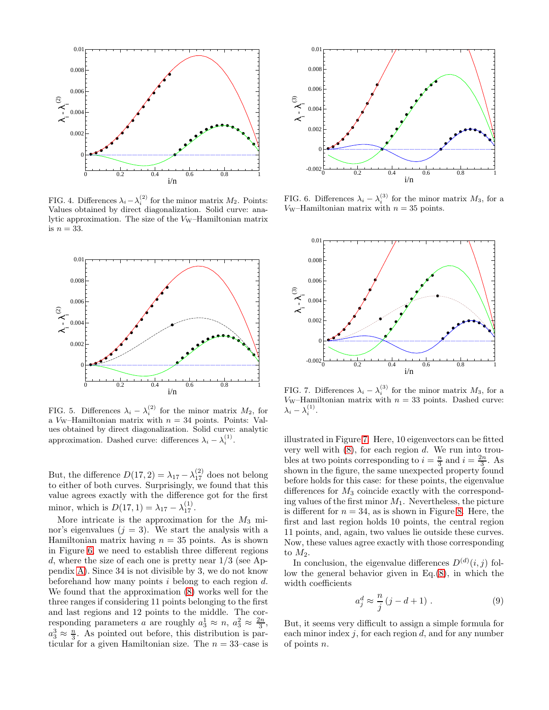

<span id="page-3-1"></span>FIG. 4. Differences  $\lambda_i - \lambda_i^{(2)}$  for the minor matrix  $M_2$ . Points: Values obtained by direct diagonalization. Solid curve: analytic approximation. The size of the  $V_W$ –Hamiltonian matrix is  $n = 33$ .



<span id="page-3-0"></span>FIG. 5. Differences  $\lambda_i - \lambda_i^{(2)}$  for the minor matrix  $M_2$ , for a V<sub>W</sub>–Hamiltonian matrix with  $n = 34$  points. Points: Values obtained by direct diagonalization. Solid curve: analytic approximation. Dashed curve: differences  $\lambda_i - \lambda_i^{(1)}$ .

But, the difference  $D(17, 2) = \lambda_{17} - \lambda_{17}^{(2)}$  does not belong to either of both curves. Surprisingly, we found that this value agrees exactly with the difference got for the first minor, which is  $D(17, 1) = \lambda_{17} - \lambda_{17}^{(1)}$ .

More intricate is the approximation for the  $M_3$  minor's eigenvalues  $(j = 3)$ . We start the analysis with a Hamiltonian matrix having  $n = 35$  points. As is shown in Figure [6,](#page-3-2) we need to establish three different regions d, where the size of each one is pretty near  $1/3$  (see Appendix [A\)](#page-5-4). Since 34 is not divisible by 3, we do not know beforehand how many points  $i$  belong to each region  $d$ . We found that the approximation [\(8\)](#page-2-2) works well for the three ranges if considering 11 points belonging to the first and last regions and 12 points to the middle. The corresponding parameters a are roughly  $a_3^1 \approx n$ ,  $a_3^2 \approx \frac{2n}{3}$ ,  $a_3^3 \approx \frac{n}{3}$ . As pointed out before, this distribution is particular for a given Hamiltonian size. The  $n = 33$ -case is



<span id="page-3-2"></span>FIG. 6. Differences  $\lambda_i - \lambda_i^{(3)}$  for the minor matrix  $M_3$ , for a V<sub>W</sub>–Hamiltonian matrix with  $n = 35$  points.



<span id="page-3-3"></span>FIG. 7. Differences  $\lambda_i - \lambda_i^{(3)}$  for the minor matrix  $M_3$ , for a  $V_W$ –Hamiltonian matrix with  $n = 33$  points. Dashed curve:  $\lambda_i - \lambda_i^{(1)}$ .

illustrated in Figure [7.](#page-3-3) Here, 10 eigenvectors can be fitted very well with  $(8)$ , for each region d. We run into troubles at two points corresponding to  $i = \frac{n}{3}$  and  $i = \frac{2n}{3}$ . As shown in the figure, the same unexpected property found before holds for this case: for these points, the eigenvalue differences for  $M_3$  coincide exactly with the corresponding values of the first minor  $M_1$ . Nevertheless, the picture is different for  $n = 34$ , as is shown in Figure [8.](#page-4-0) Here, the first and last region holds 10 points, the central region 11 points, and, again, two values lie outside these curves. Now, these values agree exactly with those corresponding to  $M_2$ .

In conclusion, the eigenvalue differences  $D^{(d)}(i, j)$  follow the general behavior given in  $Eq.(8)$  $Eq.(8)$ , in which the width coefficients

<span id="page-3-4"></span>
$$
a_j^d \approx \frac{n}{j} (j - d + 1) . \tag{9}
$$

But, it seems very difficult to assign a simple formula for each minor index  $i$ , for each region  $d$ , and for any number of points n.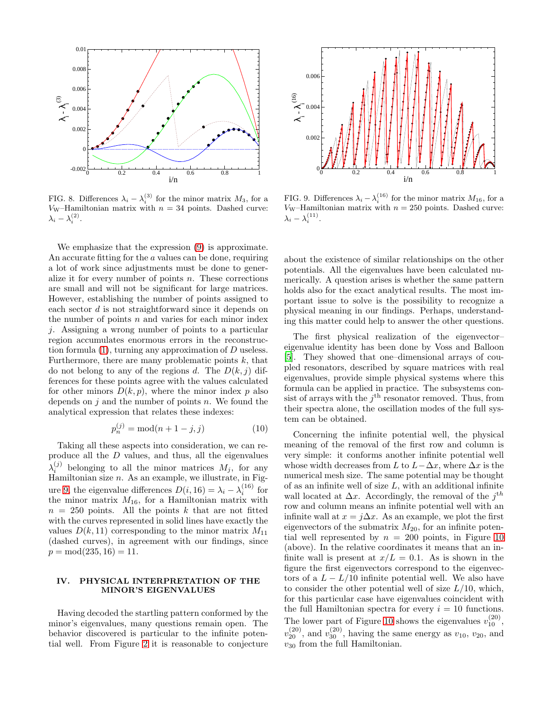

<span id="page-4-0"></span>FIG. 8. Differences  $\lambda_i - \lambda_i^{(3)}$  for the minor matrix  $M_3$ , for a V<sub>W</sub>–Hamiltonian matrix with  $n = 34$  points. Dashed curve:  $\lambda_i - \lambda_i^{(2)}$ .

We emphasize that the expression [\(9\)](#page-3-4) is approximate. An accurate fitting for the a values can be done, requiring a lot of work since adjustments must be done to generalize it for every number of points  $n$ . These corrections are small and will not be significant for large matrices. However, establishing the number of points assigned to each sector d is not straightforward since it depends on the number of points  $n$  and varies for each minor index j. Assigning a wrong number of points to a particular region accumulates enormous errors in the reconstruction formula [\(1\)](#page-0-0), turning any approximation of D useless. Furthermore, there are many problematic points  $k$ , that do not belong to any of the regions d. The  $D(k, j)$  differences for these points agree with the values calculated for other minors  $D(k, p)$ , where the minor index p also depends on  $j$  and the number of points  $n$ . We found the analytical expression that relates these indexes:

<span id="page-4-2"></span>
$$
p_n^{(j)} = \text{mod}(n+1-j, j) \tag{10}
$$

Taking all these aspects into consideration, we can reproduce all the D values, and thus, all the eigenvalues  $\lambda_i^{(j)}$  belonging to all the minor matrices  $M_j$ , for any Hamiltonian size  $n$ . As an example, we illustrate, in Fig-ure [9,](#page-4-1) the eigenvalue differences  $D(i, 16) = \lambda_i - \lambda_i^{(16)}$  for the minor matrix  $M_{16}$ , for a Hamiltonian matrix with  $n = 250$  points. All the points k that are not fitted with the curves represented in solid lines have exactly the values  $D(k, 11)$  corresponding to the minor matrix  $M_{11}$ (dashed curves), in agreement with our findings, since  $p = \text{mod}(235, 16) = 11.$ 

 $\sim$ 

# IV. PHYSICAL INTERPRETATION OF THE MINOR'S EIGENVALUES

Having decoded the startling pattern conformed by the minor's eigenvalues, many questions remain open. The behavior discovered is particular to the infinite potential well. From Figure [2](#page-2-0) it is reasonable to conjecture



<span id="page-4-1"></span>FIG. 9. Differences  $\lambda_i - \lambda_i^{(16)}$  for the minor matrix  $M_{16}$ , for a  $V_{\text{W}}$ –Hamiltonian matrix with  $n = 250$  points. Dashed curve:  $\lambda_i - \lambda_i^{(11)}$ .

about the existence of similar relationships on the other potentials. All the eigenvalues have been calculated numerically. A question arises is whether the same pattern holds also for the exact analytical results. The most important issue to solve is the possibility to recognize a physical meaning in our findings. Perhaps, understanding this matter could help to answer the other questions.

The first physical realization of the eigenvector– eigenvalue identity has been done by Voss and Balloon [\[5\]](#page-5-5). They showed that one–dimensional arrays of coupled resonators, described by square matrices with real eigenvalues, provide simple physical systems where this formula can be applied in practice. The subsystems consist of arrays with the  $j<sup>th</sup>$  resonator removed. Thus, from their spectra alone, the oscillation modes of the full system can be obtained.

Concerning the infinite potential well, the physical meaning of the removal of the first row and column is very simple: it conforms another infinite potential well whose width decreases from L to  $L-\Delta x$ , where  $\Delta x$  is the numerical mesh size. The same potential may be thought of as an infinite well of size  $L$ , with an additional infinite wall located at  $\Delta x$ . Accordingly, the removal of the j<sup>th</sup> row and column means an infinite potential well with an infinite wall at  $x = j\Delta x$ . As an example, we plot the first eigenvectors of the submatrix  $M_{20}$ , for an infinite potential well represented by  $n = 200$  points, in Figure [10](#page-5-6) (above). In the relative coordinates it means that an infinite wall is present at  $x/L = 0.1$ . As is shown in the figure the first eigenvectors correspond to the eigenvectors of a  $L - L/10$  infinite potential well. We also have to consider the other potential well of size  $L/10$ , which, for this particular case have eigenvalues coincident with the full Hamiltonian spectra for every  $i = 10$  functions. The lower part of Figure [10](#page-5-6) shows the eigenvalues  $v_{10}^{(20)}$ ,  $v_{20}^{(20)}$ , and  $v_{30}^{(20)}$ , having the same energy as  $v_{10}$ ,  $v_{20}$ , and  $v_{30}$  from the full Hamiltonian.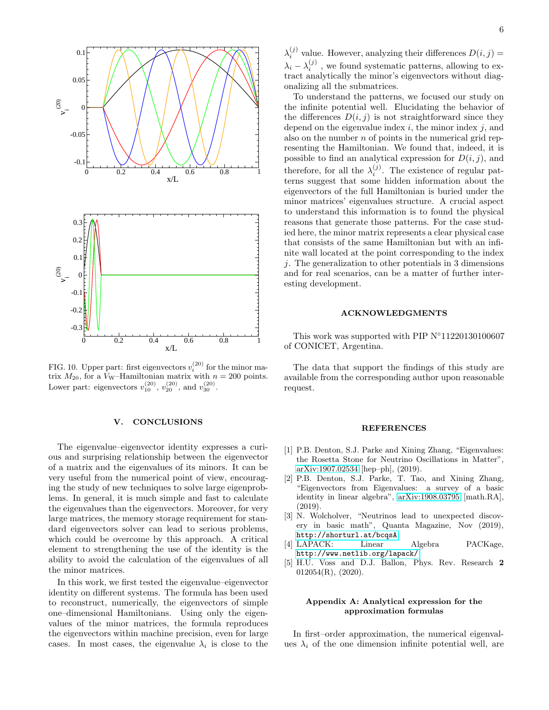

<span id="page-5-6"></span>FIG. 10. Upper part: first eigenvectors  $v_i^{(20)}$  for the minor matrix  $M_{20}$ , for a V<sub>W</sub>-Hamiltonian matrix with  $n = 200$  points. Lower part: eigenvectors  $v_{10}^{(20)}$ ,  $v_{20}^{(20)}$ , and  $v_{30}^{(20)}$ .

#### V. CONCLUSIONS

The eigenvalue–eigenvector identity expresses a curious and surprising relationship between the eigenvector of a matrix and the eigenvalues of its minors. It can be very useful from the numerical point of view, encouraging the study of new techniques to solve large eigenproblems. In general, it is much simple and fast to calculate the eigenvalues than the eigenvectors. Moreover, for very large matrices, the memory storage requirement for standard eigenvectors solver can lead to serious problems, which could be overcome by this approach. A critical element to strengthening the use of the identity is the ability to avoid the calculation of the eigenvalues of all the minor matrices.

In this work, we first tested the eigenvalue–eigenvector identity on different systems. The formula has been used to reconstruct, numerically, the eigenvectors of simple one–dimensional Hamiltonians. Using only the eigenvalues of the minor matrices, the formula reproduces the eigenvectors within machine precision, even for large cases. In most cases, the eigenvalue  $\lambda_i$  is close to the

 $\lambda_i^{(j)}$  value. However, analyzing their differences  $D(i, j)$  =  $\lambda_i - \lambda_i^{(j)}$ , we found systematic patterns, allowing to extract analytically the minor's eigenvectors without diagonalizing all the submatrices.

To understand the patterns, we focused our study on the infinite potential well. Elucidating the behavior of the differences  $D(i, j)$  is not straightforward since they depend on the eigenvalue index  $i$ , the minor index  $j$ , and also on the number  $n$  of points in the numerical grid representing the Hamiltonian. We found that, indeed, it is possible to find an analytical expression for  $D(i, j)$ , and therefore, for all the  $\lambda_i^{(j)}$ . The existence of regular patterns suggest that some hidden information about the eigenvectors of the full Hamiltonian is buried under the minor matrices' eigenvalues structure. A crucial aspect to understand this information is to found the physical reasons that generate those patterns. For the case studied here, the minor matrix represents a clear physical case that consists of the same Hamiltonian but with an infinite wall located at the point corresponding to the index j. The generalization to other potentials in 3 dimensions and for real scenarios, can be a matter of further interesting development.

### ACKNOWLEDGMENTS

This work was supported with PIP N◦11220130100607 of CONICET, Argentina.

The data that support the findings of this study are available from the corresponding author upon reasonable request.

#### **REFERENCES**

- <span id="page-5-0"></span>[1] P.B. Denton, S.J. Parke and Xining Zhang, "Eigenvalues: the Rosetta Stone for Neutrino Oscillations in Matter", [arXiv:1907.02534](http://arxiv.org/abs/1907.02534) [hep–ph], (2019).
- <span id="page-5-1"></span>[2] P.B. Denton, S.J. Parke, T. Tao, and Xining Zhang, "Eigenvectors from Eigenvalues: a survey of a basic identity in linear algebra", [arXiv:1908.03795](http://arxiv.org/abs/1908.03795) [math.RA], (2019).
- <span id="page-5-2"></span>[3] N. Wolcholver, "Neutrinos lead to unexpected discovery in basic math", Quanta Magazine, Nov (2019), <http://shorturl.at/bcqsA>.
- <span id="page-5-3"></span>[4] LAPACK: Linear Algebra PACKage, <http://www.netlib.org/lapack/>.
- <span id="page-5-5"></span>[5] H.U. Voss and D.J. Ballon, Phys. Rev. Research 2  $012054(R)$ ,  $(2020)$ .

### <span id="page-5-4"></span>Appendix A: Analytical expression for the approximation formulas

In first–order approximation, the numerical eigenvalues  $\lambda_i$  of the one dimension infinite potential well, are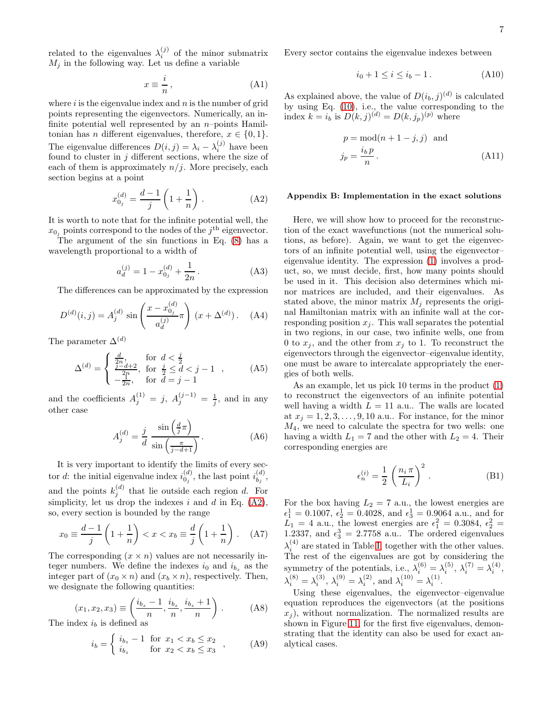related to the eigenvalues  $\lambda_i^{(j)}$  of the minor submatrix  $M_i$  in the following way. Let us define a variable

$$
x \equiv \frac{i}{n},\tag{A1}
$$

where  $i$  is the eigenvalue index and  $n$  is the number of grid points representing the eigenvectors. Numerically, an infinite potential well represented by an  $n$ -points Hamiltonian has *n* different eigenvalues, therefore,  $x \in \{0, 1\}$ . The eigenvalue differences  $D(i, j) = \lambda_i - \lambda_i^{(j)}$  have been found to cluster in  $j$  different sections, where the size of each of them is approximately  $n/j$ . More precisely, each section begins at a point

<span id="page-6-1"></span>
$$
x_{0j}^{(d)} = \frac{d-1}{j} \left( 1 + \frac{1}{n} \right). \tag{A2}
$$

It is worth to note that for the infinite potential well, the  $x_{0j}$  points correspond to the nodes of the  $j<sup>th</sup>$  eigenvector.

The argument of the sin functions in Eq. [\(8\)](#page-2-2) has a wavelength proportional to a width of

$$
a_d^{(j)} = 1 - x_{0_j}^{(d)} + \frac{1}{2n}.
$$
 (A3)

The differences can be approximated by the expression

$$
D^{(d)}(i,j) = A_j^{(d)} \sin\left(\frac{x - x_{0j}^{(d)}}{a_d^{(j)}}\pi\right) (x + \Delta^{(d)}).
$$
 (A4)

The parameter  $\Delta^{(d)}$ 

$$
\Delta^{(d)} = \begin{cases} \frac{d}{2n}, & \text{for } d < \frac{j}{2} \\ \frac{j - d + 2}{2n}, & \text{for } \frac{j}{2} \le d < j - 1 \\ -\frac{2n}{2n}, & \text{for } d = j - 1 \end{cases}
$$
 (A5)

and the coefficients  $A_j^{(1)} = j$ ,  $A_j^{(j-1)} = \frac{1}{j}$ , and in any other case

$$
A_j^{(d)} = \frac{j}{d} \frac{\sin\left(\frac{d}{j}\pi\right)}{\sin\left(\frac{\pi}{j-d+1}\right)}.\tag{A6}
$$

It is very important to identify the limits of every sector d: the initial eigenvalue index  $i_{0,i}^{(d)}$  $\binom{d}{0_j}$ , the last point  $i_{b_j}^{(d)}$  $\genfrac{}{}{0pt}{}{\left( a\right) }{b_{j}},$ and the points  $k_j^{(d)}$  that lie outside each region d. For simplicity, let us drop the indexes i and d in Eq.  $(A2)$ , so, every section is bounded by the range

$$
x_0 \equiv \frac{d-1}{j} \left( 1 + \frac{1}{n} \right) < x < x_b \equiv \frac{d}{j} \left( 1 + \frac{1}{n} \right) . \tag{A7}
$$

The corresponding  $(x \times n)$  values are not necessarily integer numbers. We define the indexes  $i_0$  and  $i_{b_z}$  as the integer part of  $(x_0 \times n)$  and  $(x_b \times n)$ , respectively. Then, we designate the following quantities:

$$
(x_1, x_2, x_3) \equiv \left(\frac{i_{b_z} - 1}{n}, \frac{i_{b_z}}{n}, \frac{i_{b_z} + 1}{n}\right).
$$
 (A8)  
The index  $i_h$  is defined as

$$
i_b = \begin{cases} i_{b_z} - 1 & \text{for } x_1 < x_b \le x_2 \\ i_{b_z} & \text{for } x_2 < x_b \le x_3 \end{cases}, \quad (A9)
$$

Every sector contains the eigenvalue indexes between

$$
i_0 + 1 \le i \le i_b - 1. \tag{A10}
$$

As explained above, the value of  $D(i_b, j)^{(d)}$  is calculated by using Eq. [\(10\)](#page-4-2), i.e., the value corresponding to the index  $k = i_b$  is  $D(k, j)^{(d)} = D(k, j_p)^{(p)}$  where

$$
p = \text{mod}(n+1-j, j) \text{ and}
$$

$$
j_p = \frac{i_b p}{n}.
$$
 (A11)

#### <span id="page-6-0"></span>Appendix B: Implementation in the exact solutions

Here, we will show how to proceed for the reconstruction of the exact wavefunctions (not the numerical solutions, as before). Again, we want to get the eigenvectors of an infinite potential well, using the eigenvector– eigenvalue identity. The expression [\(1\)](#page-0-0) involves a product, so, we must decide, first, how many points should be used in it. This decision also determines which minor matrices are included, and their eigenvalues. As stated above, the minor matrix  $M_i$  represents the original Hamiltonian matrix with an infinite wall at the corresponding position  $x_i$ . This wall separates the potential in two regions, in our case, two infinite wells, one from 0 to  $x_i$ , and the other from  $x_i$  to 1. To reconstruct the eigenvectors through the eigenvector–eigenvalue identity, one must be aware to intercalate appropriately the energies of both wells.

As an example, let us pick 10 terms in the product [\(1\)](#page-0-0) to reconstruct the eigenvectors of an infinite potential well having a width  $L = 11$  a.u.. The walls are located at  $x_j = 1, 2, 3, \ldots, 9, 10$  a.u.. For instance, for the minor  $M_4$ , we need to calculate the spectra for two wells: one having a width  $L_1 = 7$  and the other with  $L_2 = 4$ . Their corresponding energies are

<span id="page-6-2"></span>
$$
\epsilon_n^{(i)} = \frac{1}{2} \left( \frac{n_i \pi}{L_i} \right)^2.
$$
 (B1)

For the box having  $L_2 = 7$  a.u., the lowest energies are  $\epsilon_1^1 = 0.1007, \, \epsilon_2^1 = 0.4028, \, \text{and } \epsilon_3^1 = 0.9064 \, \text{a.u., and for}$  $\overline{L}_1 = 4$  a.u., the lowest energies are  $\epsilon_1^2 = 0.3084, \epsilon_2^2 =$ 1.2337, and  $\epsilon_3^3 = 2.7758$  a.u.. The ordered eigenvalues  $\lambda_i^{(4)}$  are stated in Table [I,](#page-7-0) together with the other values. The rest of the eigenvalues are got by considering the symmetry of the potentials, i.e.,  $\lambda_i^{(6)} = \lambda_i^{(5)}$ ,  $\lambda_i^{(7)} = \lambda_i^{(4)}$ ,  $\lambda_i^{(8)} = \lambda_i^{(3)}, \lambda_i^{(9)} = \lambda_i^{(2)}, \text{ and } \lambda_i^{(10)} = \lambda_i^{(1)}.$ 

Using these eigenvalues, the eigenvector–eigenvalue equation reproduces the eigenvectors (at the positions  $x_i$ ), without normalization. The normalized results are shown in Figure [11,](#page-7-1) for the first five eigenvalues, demonstrating that the identity can also be used for exact analytical cases.